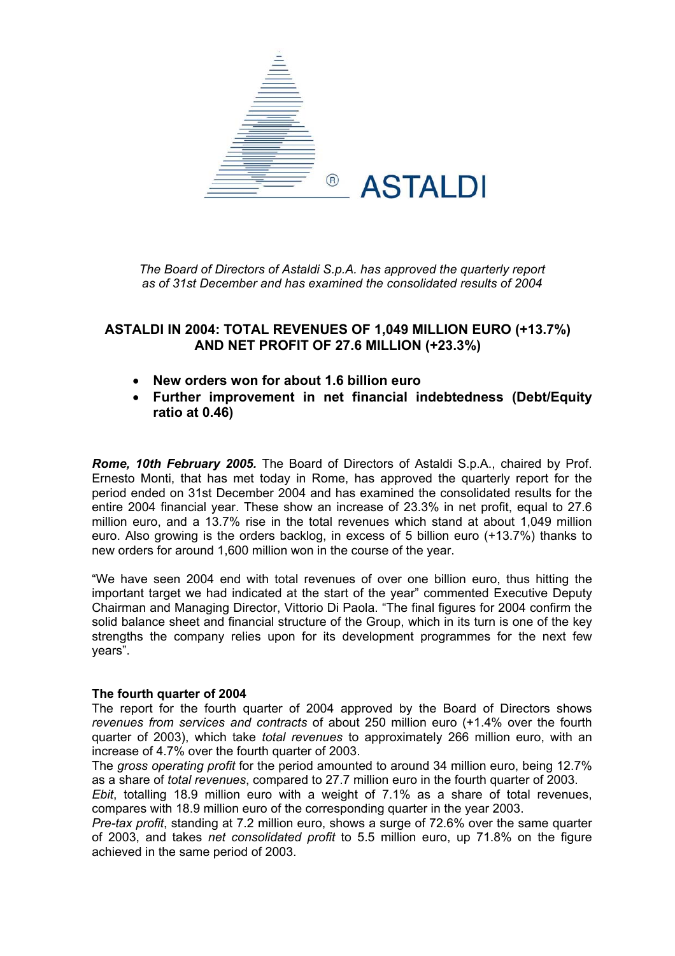

*The Board of Directors of Astaldi S.p.A. has approved the quarterly report as of 31st December and has examined the consolidated results of 2004*

# **ASTALDI IN 2004: TOTAL REVENUES OF 1,049 MILLION EURO (+13.7%) AND NET PROFIT OF 27.6 MILLION (+23.3%)**

- **New orders won for about 1.6 billion euro**
- **Further improvement in net financial indebtedness (Debt/Equity ratio at 0.46)**

*Rome, 10th February 2005.* The Board of Directors of Astaldi S.p.A., chaired by Prof. Ernesto Monti, that has met today in Rome, has approved the quarterly report for the period ended on 31st December 2004 and has examined the consolidated results for the entire 2004 financial year. These show an increase of 23.3% in net profit, equal to 27.6 million euro, and a 13.7% rise in the total revenues which stand at about 1,049 million euro. Also growing is the orders backlog, in excess of 5 billion euro (+13.7%) thanks to new orders for around 1,600 million won in the course of the year.

"We have seen 2004 end with total revenues of over one billion euro, thus hitting the important target we had indicated at the start of the year" commented Executive Deputy Chairman and Managing Director, Vittorio Di Paola. "The final figures for 2004 confirm the solid balance sheet and financial structure of the Group, which in its turn is one of the key strengths the company relies upon for its development programmes for the next few years".

## **The fourth quarter of 2004**

The report for the fourth quarter of 2004 approved by the Board of Directors shows *revenues from services and contracts* of about 250 million euro (+1.4% over the fourth quarter of 2003), which take *total revenues* to approximately 266 million euro, with an increase of 4.7% over the fourth quarter of 2003.

The *gross operating profit* for the period amounted to around 34 million euro, being 12.7% as a share of *total revenues*, compared to 27.7 million euro in the fourth quarter of 2003.

*Ebit*, totalling 18.9 million euro with a weight of 7.1% as a share of total revenues, compares with 18.9 million euro of the corresponding quarter in the year 2003.

*Pre-tax profit*, standing at 7.2 million euro, shows a surge of 72.6% over the same quarter of 2003, and takes *net consolidated profit* to 5.5 million euro, up 71.8% on the figure achieved in the same period of 2003.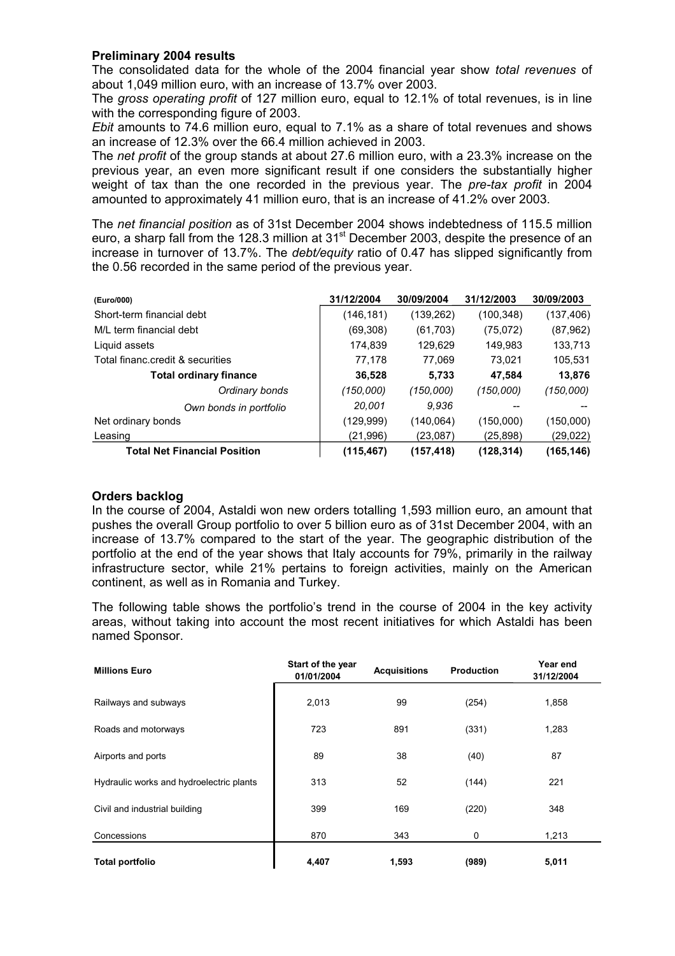## **Preliminary 2004 results**

The consolidated data for the whole of the 2004 financial year show *total revenues* of about 1,049 million euro, with an increase of 13.7% over 2003.

The *gross operating profit* of 127 million euro, equal to 12.1% of total revenues, is in line with the corresponding figure of 2003.

*Ebit* amounts to 74.6 million euro, equal to 7.1% as a share of total revenues and shows an increase of 12.3% over the 66.4 million achieved in 2003.

The *net profit* of the group stands at about 27.6 million euro, with a 23.3% increase on the previous year, an even more significant result if one considers the substantially higher weight of tax than the one recorded in the previous year. The *pre-tax profit* in 2004 amounted to approximately 41 million euro, that is an increase of 41.2% over 2003.

The *net financial position* as of 31st December 2004 shows indebtedness of 115.5 million euro, a sharp fall from the 128.3 million at 31<sup>st</sup> December 2003, despite the presence of an increase in turnover of 13.7%. The *debt/equity* ratio of 0.47 has slipped significantly from the 0.56 recorded in the same period of the previous year.

| (Euro/000)                          | 31/12/2004 | 30/09/2004 | 31/12/2003 | 30/09/2003 |
|-------------------------------------|------------|------------|------------|------------|
| Short-term financial debt           | (146, 181) | (139, 262) | (100, 348) | (137, 406) |
| M/L term financial debt             | (69,308)   | (61, 703)  | (75,072)   | (87, 962)  |
| Liquid assets                       | 174,839    | 129,629    | 149,983    | 133,713    |
| Total financ.credit & securities    | 77,178     | 77,069     | 73.021     | 105,531    |
| <b>Total ordinary finance</b>       | 36,528     | 5,733      | 47,584     | 13,876     |
| Ordinary bonds                      | (150,000)  | (150.000)  | (150,000)  | (150,000)  |
| Own bonds in portfolio              | 20.001     | 9.936      |            |            |
| Net ordinary bonds                  | (129, 999) | (140.064)  | (150,000)  | (150,000)  |
| Leasing                             | (21,996)   | (23,087)   | (25,898)   | (29,022)   |
| <b>Total Net Financial Position</b> | (115, 467) | (157, 418) | (128, 314) | (165, 146) |

#### **Orders backlog**

In the course of 2004, Astaldi won new orders totalling 1,593 million euro, an amount that pushes the overall Group portfolio to over 5 billion euro as of 31st December 2004, with an increase of 13.7% compared to the start of the year. The geographic distribution of the portfolio at the end of the year shows that Italy accounts for 79%, primarily in the railway infrastructure sector, while 21% pertains to foreign activities, mainly on the American continent, as well as in Romania and Turkey.

The following table shows the portfolio's trend in the course of 2004 in the key activity areas, without taking into account the most recent initiatives for which Astaldi has been named Sponsor.

| <b>Millions Euro</b>                     | Start of the year<br>01/01/2004 | <b>Acquisitions</b> | <b>Production</b> | Year end<br>31/12/2004 |
|------------------------------------------|---------------------------------|---------------------|-------------------|------------------------|
| Railways and subways                     | 2,013                           | 99                  | (254)             | 1,858                  |
| Roads and motorways                      | 723                             | 891                 | (331)             | 1,283                  |
| Airports and ports                       | 89                              | 38                  | (40)              | 87                     |
| Hydraulic works and hydroelectric plants | 313                             | 52                  | (144)             | 221                    |
| Civil and industrial building            | 399                             | 169                 | (220)             | 348                    |
| Concessions                              | 870                             | 343                 | 0                 | 1,213                  |
| <b>Total portfolio</b>                   | 4,407                           | 1,593               | (989)             | 5,011                  |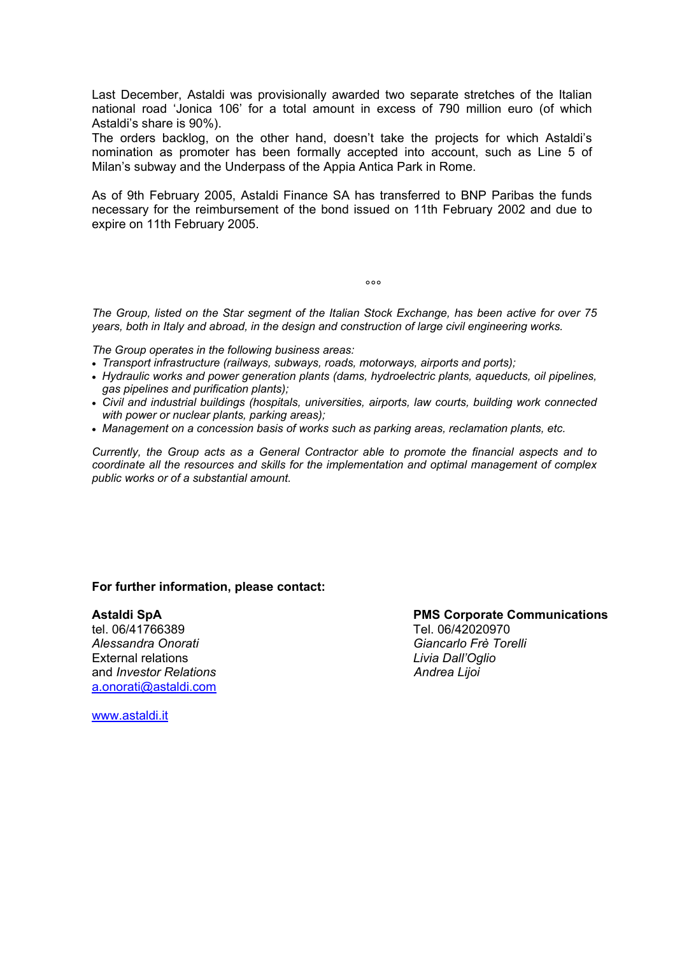Last December, Astaldi was provisionally awarded two separate stretches of the Italian national road 'Jonica 106' for a total amount in excess of 790 million euro (of which Astaldi's share is 90%).

The orders backlog, on the other hand, doesn't take the projects for which Astaldi's nomination as promoter has been formally accepted into account, such as Line 5 of Milan's subway and the Underpass of the Appia Antica Park in Rome.

As of 9th February 2005, Astaldi Finance SA has transferred to BNP Paribas the funds necessary for the reimbursement of the bond issued on 11th February 2002 and due to expire on 11th February 2005.

ли в селото в селото в селото в селото в селото в селото в селото в селото в селото в селото в селото в селото<br>В селото в селото в селото в селото в селото в селото в селото в селото в селото в селото в селото в селото в<br>

*The Group, listed on the Star segment of the Italian Stock Exchange, has been active for over 75 years, both in Italy and abroad, in the design and construction of large civil engineering works.* 

*The Group operates in the following business areas:* 

- *Transport infrastructure (railways, subways, roads, motorways, airports and ports);*
- *Hydraulic works and power generation plants (dams, hydroelectric plants, aqueducts, oil pipelines, gas pipelines and purification plants);*
- *Civil and industrial buildings (hospitals, universities, airports, law courts, building work connected with power or nuclear plants, parking areas);*
- *Management on a concession basis of works such as parking areas, reclamation plants, etc.*

*Currently, the Group acts as a General Contractor able to promote the financial aspects and to coordinate all the resources and skills for the implementation and optimal management of complex public works or of a substantial amount.* 

#### **For further information, please contact:**

*Alessandra Onorati Giancarlo Frè Torelli* External relations *Livia Dall'Oglio*  and *Investor Relations* and *Investor Relations* and *Andrea Lijoi* **Andrea** *Andrea Andrea Andrea Andrea Andrea Andrea Andrea Andrea Andrea Andrea Andrea Andrea Andrea Andrea Andrea Andrea* [a.onorati@astaldi.com](mailto:a.onorati@astaldi.com)

Astaldi SpA<br> **Astaldi SpA** PMS Corporate Communications<br>
Tel 06/42020970 Tel. 06/42020970

[www.astaldi.it](http://www.astaldi.it/)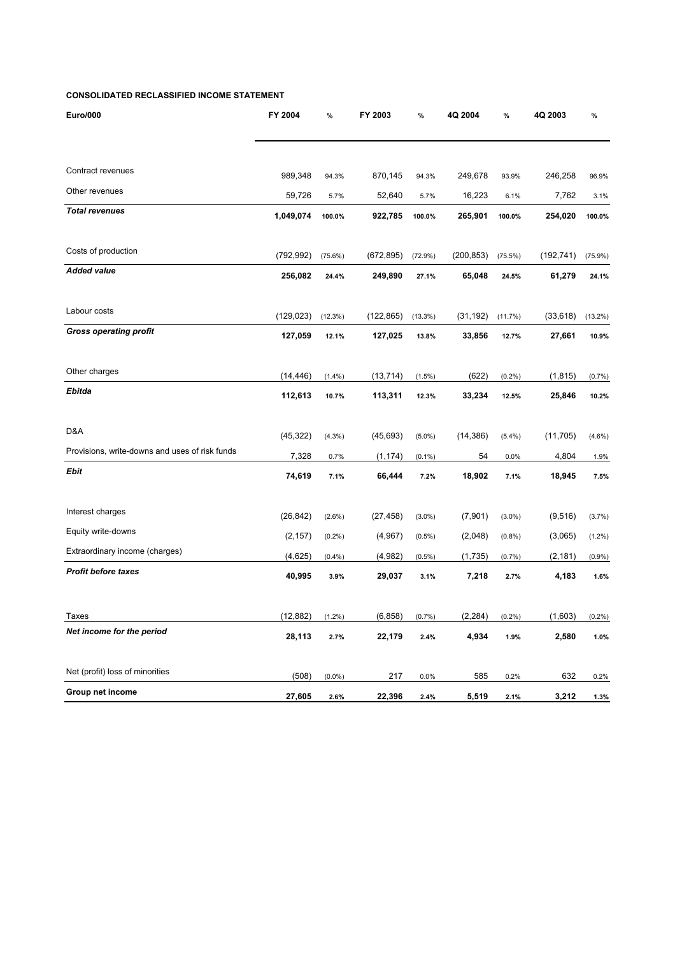#### **CONSOLIDATED RECLASSIFIED INCOME STATEMENT**

| <b>Euro/000</b>                                | FY 2004    | $\%$      | FY 2003    | %          | 4Q 2004    | $\%$       | 4Q 2003    | $\%$       |
|------------------------------------------------|------------|-----------|------------|------------|------------|------------|------------|------------|
|                                                |            |           |            |            |            |            |            |            |
| Contract revenues                              | 989,348    | 94.3%     | 870,145    | 94.3%      | 249,678    | 93.9%      | 246,258    | 96.9%      |
| Other revenues                                 | 59,726     | 5.7%      | 52,640     | 5.7%       | 16,223     | 6.1%       | 7,762      | 3.1%       |
| <b>Total revenues</b>                          | 1,049,074  | 100.0%    | 922,785    | 100.0%     | 265,901    | 100.0%     | 254,020    | 100.0%     |
| Costs of production                            | (792, 992) | (75.6%)   | (672, 895) | $(72.9\%)$ | (200, 853) | $(75.5\%)$ | (192, 741) | $(75.9\%)$ |
| <b>Added value</b>                             | 256,082    | 24.4%     | 249,890    | 27.1%      | 65,048     | 24.5%      | 61,279     | 24.1%      |
| Labour costs                                   | (129, 023) | (12.3%)   | (122, 865) | (13.3%)    | (31, 192)  | (11.7%)    | (33, 618)  | $(13.2\%)$ |
| <b>Gross operating profit</b>                  | 127,059    | 12.1%     | 127,025    | 13.8%      | 33,856     | 12.7%      | 27,661     | 10.9%      |
| Other charges                                  | (14, 446)  | $(1.4\%)$ | (13, 714)  | $(1.5\%)$  | (622)      | $(0.2\%)$  | (1, 815)   | (0.7%      |
| Ebitda                                         | 112,613    | 10.7%     | 113,311    | 12.3%      | 33,234     | 12.5%      | 25,846     | 10.2%      |
| D&A                                            | (45, 322)  | (4.3%)    | (45, 693)  | $(5.0\%)$  | (14, 386)  | $(5.4\%)$  | (11, 705)  | $(4.6\%)$  |
| Provisions, write-downs and uses of risk funds | 7,328      | 0.7%      | (1, 174)   | $(0.1\%)$  | 54         | 0.0%       | 4,804      | 1.9%       |
| Ebit                                           | 74,619     | 7.1%      | 66,444     | 7.2%       | 18,902     | 7.1%       | 18,945     | 7.5%       |
| Interest charges                               | (26, 842)  | $(2.6\%)$ | (27, 458)  | $(3.0\%)$  | (7,901)    | $(3.0\%)$  | (9, 516)   | (3.7%)     |
| Equity write-downs                             | (2, 157)   | $(0.2\%)$ | (4,967)    | $(0.5\%)$  | (2,048)    | (0.8%)     | (3,065)    | $(1.2\%)$  |
| Extraordinary income (charges)                 | (4,625)    | (0.4% )   | (4,982)    | $(0.5\%)$  | (1,735)    | (0.7%)     | (2, 181)   | (0.9%      |
| <b>Profit before taxes</b>                     | 40,995     | 3.9%      | 29,037     | 3.1%       | 7,218      | 2.7%       | 4,183      | 1.6%       |
| Taxes                                          | (12, 882)  | (1.2%)    | (6, 858)   | (0.7%)     | (2, 284)   | (0.2%)     | (1,603)    | $(0.2\%)$  |
| Net income for the period                      | 28,113     | 2.7%      | 22,179     | 2.4%       | 4,934      | 1.9%       | 2,580      | 1.0%       |
| Net (profit) loss of minorities                | (508)      | $(0.0\%)$ | 217        | 0.0%       | 585        | 0.2%       | 632        | 0.2%       |
| Group net income                               | 27,605     | 2.6%      | 22,396     | 2.4%       | 5,519      | 2.1%       | 3,212      | 1.3%       |